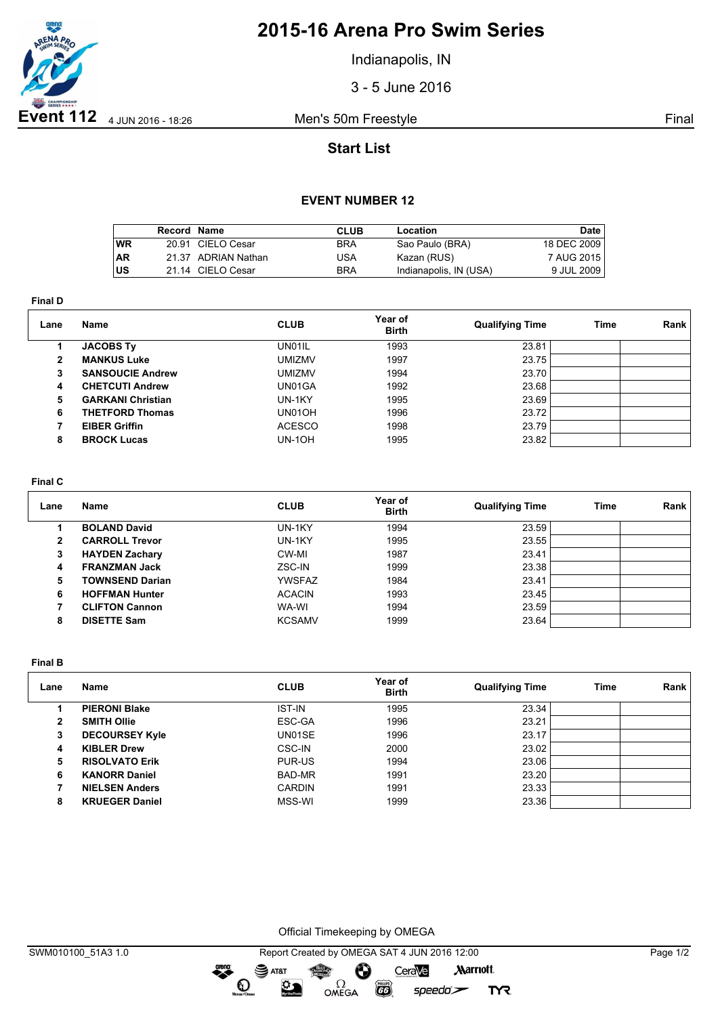

# **2015-16 Arena Pro Swim Series**

Indianapolis, IN

3 - 5 June 2016

## **Start List**

### **EVENT NUMBER 12**

|           | Record Name |                     | <b>CLUB</b> | Location               | Date        |
|-----------|-------------|---------------------|-------------|------------------------|-------------|
| <b>WR</b> |             | 20.91 CIELO Cesar   | <b>BRA</b>  | Sao Paulo (BRA)        | 18 DEC 2009 |
| <b>AR</b> |             | 21.37 ADRIAN Nathan | USA         | Kazan (RUS)            | 7 AUG 2015  |
| US        |             | 21.14 CIELO Cesar   | <b>BRA</b>  | Indianapolis, IN (USA) | 9 JUL 2009  |

**Final D**

| Lane | Name                     | <b>CLUB</b>   | Year of<br><b>Birth</b> | <b>Qualifying Time</b> | <b>Time</b> | Rank |
|------|--------------------------|---------------|-------------------------|------------------------|-------------|------|
|      | <b>JACOBS Ty</b>         | UN01IL        | 1993                    | 23.81                  |             |      |
| 2    | <b>MANKUS Luke</b>       | <b>UMIZMV</b> | 1997                    | 23.75                  |             |      |
| 3    | <b>SANSOUCIE Andrew</b>  | <b>UMIZMV</b> | 1994                    | 23.70                  |             |      |
| 4    | <b>CHETCUTI Andrew</b>   | UN01GA        | 1992                    | 23.68                  |             |      |
| 5    | <b>GARKANI Christian</b> | UN-1KY        | 1995                    | 23.69                  |             |      |
| 6    | <b>THETFORD Thomas</b>   | UN01OH        | 1996                    | 23.72                  |             |      |
|      | <b>EIBER Griffin</b>     | <b>ACESCO</b> | 1998                    | 23.79                  |             |      |
| 8    | <b>BROCK Lucas</b>       | <b>UN-10H</b> | 1995                    | 23.82                  |             |      |

#### **Final C**

| Lane | Name                   | <b>CLUB</b>   | Year of<br><b>Birth</b> | <b>Qualifying Time</b> | Time | Rank |
|------|------------------------|---------------|-------------------------|------------------------|------|------|
|      | <b>BOLAND David</b>    | UN-1KY        | 1994                    | 23.59                  |      |      |
| 2    | <b>CARROLL Trevor</b>  | UN-1KY        | 1995                    | 23.55                  |      |      |
| 3    | <b>HAYDEN Zachary</b>  | CW-MI         | 1987                    | 23.41                  |      |      |
| 4    | <b>FRANZMAN Jack</b>   | ZSC-IN        | 1999                    | 23.38                  |      |      |
| 5    | <b>TOWNSEND Darian</b> | YWSFAZ        | 1984                    | 23.41                  |      |      |
| 6    | <b>HOFFMAN Hunter</b>  | <b>ACACIN</b> | 1993                    | 23.45                  |      |      |
|      | <b>CLIFTON Cannon</b>  | WA-WI         | 1994                    | 23.59                  |      |      |
| 8    | <b>DISETTE Sam</b>     | <b>KCSAMV</b> | 1999                    | 23.64                  |      |      |

**Final B**

| Lane | Name                  | <b>CLUB</b>   | Year of<br><b>Birth</b> | <b>Qualifying Time</b> | Time | Rank |
|------|-----------------------|---------------|-------------------------|------------------------|------|------|
|      | <b>PIERONI Blake</b>  | <b>IST-IN</b> | 1995                    | 23.34                  |      |      |
| 2    | <b>SMITH Ollie</b>    | ESC-GA        | 1996                    | 23.21                  |      |      |
| 3    | <b>DECOURSEY Kyle</b> | UN01SE        | 1996                    | 23.17                  |      |      |
| 4    | <b>KIBLER Drew</b>    | CSC-IN        | 2000                    | 23.02                  |      |      |
| 5    | <b>RISOLVATO Erik</b> | PUR-US        | 1994                    | 23.06                  |      |      |
| 6    | <b>KANORR Daniel</b>  | BAD-MR        | 1991                    | 23.20                  |      |      |
|      | <b>NIELSEN Anders</b> | <b>CARDIN</b> | 1991                    | 23.33                  |      |      |
| 8    | <b>KRUEGER Daniel</b> | MSS-WI        | 1999                    | 23.36                  |      |      |

Official Timekeeping by OMEGA

**EXAMPLE** 

 $speedo$ 

**TYR** 

OMEGA

dreng:

 $\mathbf{O}$ 

 $\mathfrak{D}$